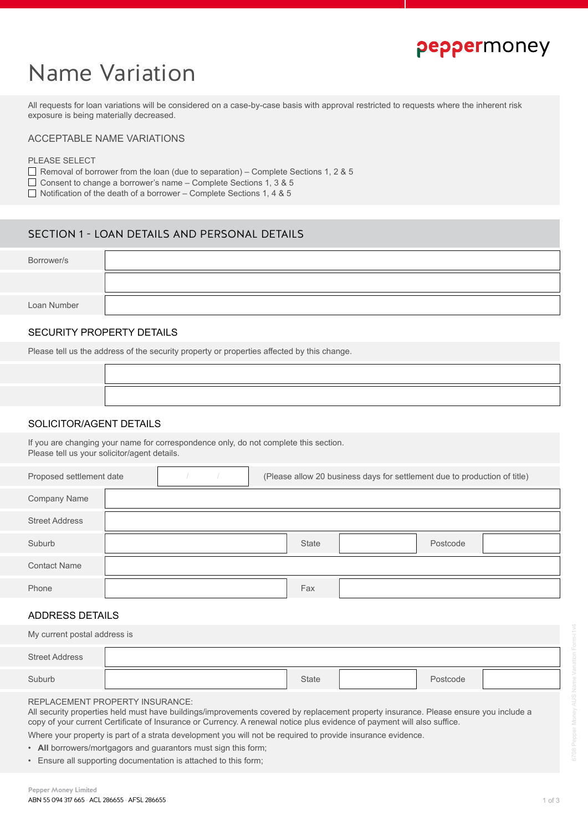# peppermoney

# Name Variation

All requests for loan variations will be considered on a case-by-case basis with approval restricted to requests where the inherent risk exposure is being materially decreased.

### ACCEPTABLE NAME VARIATIONS

#### PLEASE SELECT

 $\Box$  Removal of borrower from the loan (due to separation) – Complete Sections 1, 2 & 5

Consent to change a borrower's name – Complete Sections 1, 3 & 5

 $\Box$  Notification of the death of a borrower – Complete Sections 1, 4 & 5

# SECTION 1 - LOAN DETAILS AND PERSONAL DETAILS

| Borrower/s  |  |
|-------------|--|
|             |  |
| Loan Number |  |

## SECURITY PROPERTY DETAILS

Please tell us the address of the security property or properties affected by this change.

### SOLICITOR/AGENT DETAILS

If you are changing your name for correspondence only, do not complete this section. Please tell us your solicitor/agent details.

| Proposed settlement date |  |  | (Please allow 20 business days for settlement due to production of title) |       |  |          |  |
|--------------------------|--|--|---------------------------------------------------------------------------|-------|--|----------|--|
| Company Name             |  |  |                                                                           |       |  |          |  |
| <b>Street Address</b>    |  |  |                                                                           |       |  |          |  |
| Suburb                   |  |  |                                                                           | State |  | Postcode |  |
| <b>Contact Name</b>      |  |  |                                                                           |       |  |          |  |
| Phone                    |  |  |                                                                           | Fax   |  |          |  |

## ADDRESS DETAILS

| My current postal address is |  |       |  |          |  |  |
|------------------------------|--|-------|--|----------|--|--|
| <b>Street Address</b>        |  |       |  |          |  |  |
| Suburb                       |  | State |  | Postcode |  |  |

REPLACEMENT PROPERTY INSURANCE:

All security properties held must have buildings/improvements covered by replacement property insurance. Please ensure you include a copy of your current Certificate of Insurance or Currency. A renewal notice plus evidence of payment will also suffice.

Where your property is part of a strata development you will not be required to provide insurance evidence.

- **All** borrowers/mortgagors and guarantors must sign this form;
- Ensure all supporting documentation is attached to this form;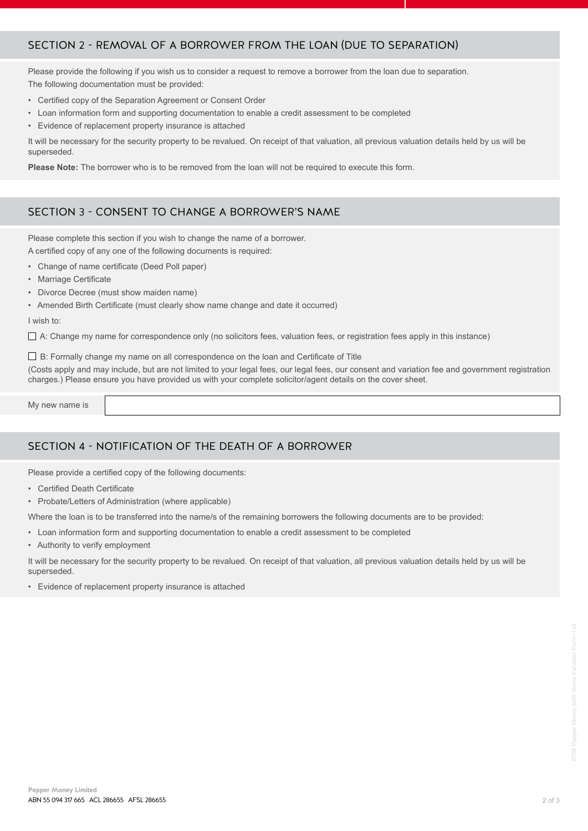# SECTION 2 - REMOVAL OF A BORROWER FROM THE LOAN (DUE TO SEPARATION)

Please provide the following if you wish us to consider a request to remove a borrower from the loan due to separation. The following documentation must be provided:

- Certified copy of the Separation Agreement or Consent Order
- Loan information form and supporting documentation to enable a credit assessment to be completed
- Evidence of replacement property insurance is attached

It will be necessary for the security property to be revalued. On receipt of that valuation, all previous valuation details held by us will be superseded.

**Please Note:** The borrower who is to be removed from the loan will not be required to execute this form.

# SECTION 3 - CONSENT TO CHANGE A BORROWER'S NAME

Please complete this section if you wish to change the name of a borrower. A certified copy of any one of the following documents is required:

- Change of name certificate (Deed Poll paper)
- Marriage Certificate
- Divorce Decree (must show maiden name)
- Amended Birth Certificate (must clearly show name change and date it occurred)

#### I wish to:

 $\Box$  A: Change my name for correspondence only (no solicitors fees, valuation fees, or registration fees apply in this instance)

 $\Box$  B: Formally change my name on all correspondence on the loan and Certificate of Title

(Costs apply and may include, but are not limited to your legal fees, our legal fees, our consent and variation fee and government registration charges.) Please ensure you have provided us with your complete solicitor/agent details on the cover sheet.

My new name is

# SECTION 4 - NOTIFICATION OF THE DEATH OF A BORROWER

Please provide a certified copy of the following documents:

- Certified Death Certificate
- Probate/Letters of Administration (where applicable)

Where the loan is to be transferred into the name/s of the remaining borrowers the following documents are to be provided:

• Loan information form and supporting documentation to enable a credit assessment to be completed

• Authority to verify employment

It will be necessary for the security property to be revalued. On receipt of that valuation, all previous valuation details held by us will be superseded.

• Evidence of replacement property insurance is attached